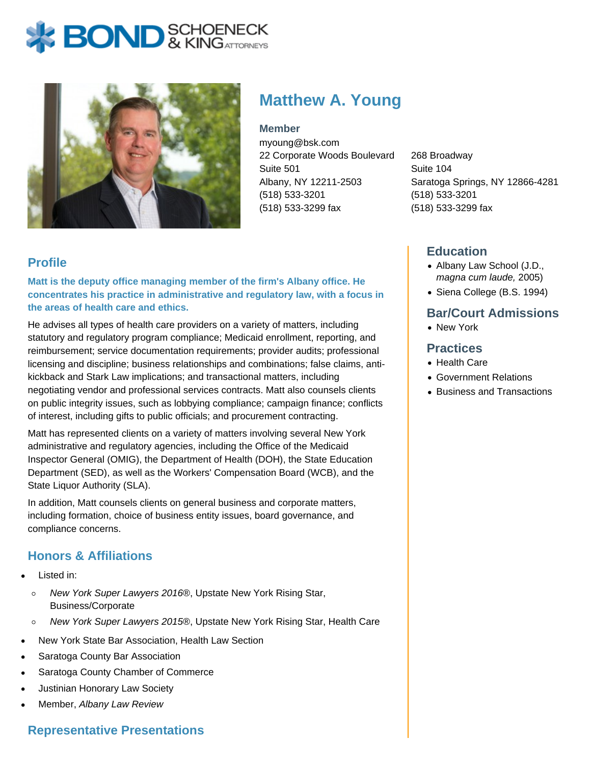



# **Matthew A. Young**

**Member**

myoung@bsk.com 22 Corporate Woods Boulevard Suite 501 Albany, NY 12211-2503 (518) 533-3201 (518) 533-3299 fax

268 Broadway Suite 104 Saratoga Springs, NY 12866-4281 (518) 533-3201 (518) 533-3299 fax

## **Profile**

**Matt is the deputy office managing member of the firm's Albany office. He concentrates his practice in administrative and regulatory law, with a focus in the areas of health care and ethics.**

He advises all types of health care providers on a variety of matters, including statutory and regulatory program compliance; Medicaid enrollment, reporting, and reimbursement; service documentation requirements; provider audits; professional licensing and discipline; business relationships and combinations; false claims, antikickback and Stark Law implications; and transactional matters, including negotiating vendor and professional services contracts. Matt also counsels clients on public integrity issues, such as lobbying compliance; campaign finance; conflicts of interest, including gifts to public officials; and procurement contracting.

Matt has represented clients on a variety of matters involving several New York administrative and regulatory agencies, including the Office of the Medicaid Inspector General (OMIG), the Department of Health (DOH), the State Education Department (SED), as well as the Workers' Compensation Board (WCB), and the State Liquor Authority (SLA).

In addition, Matt counsels clients on general business and corporate matters, including formation, choice of business entity issues, board governance, and compliance concerns.

# **Honors & Affiliations**

- Listed in:
	- New York Super Lawyers 2016®, Upstate New York Rising Star,  $\circ$ Business/Corporate
	- New York Super Lawyers 2015®, Upstate New York Rising Star, Health Care  $\circ$
- New York State Bar Association, Health Law Section
- Saratoga County Bar Association
- Saratoga County Chamber of Commerce
- Justinian Honorary Law Society
- Member, Albany Law Review

## **Representative Presentations**

## **Education**

- Albany Law School (J.D., magna cum laude, 2005)
- Siena College (B.S. 1994)

# **Bar/Court Admissions**

New York

#### **Practices**

- Health Care
- Government Relations
- Business and Transactions